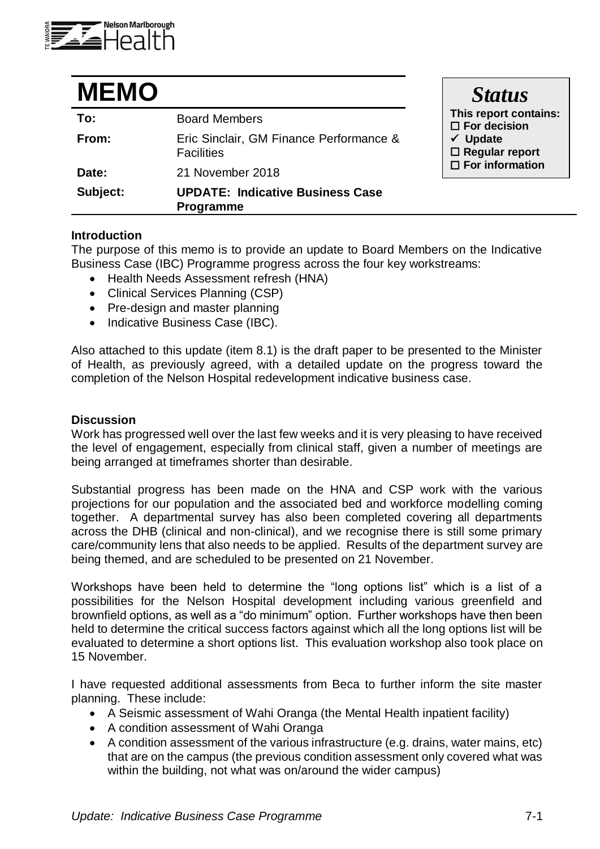

| <b>MEMO</b> |                                                              | <b>Status</b>                                                                                                             |
|-------------|--------------------------------------------------------------|---------------------------------------------------------------------------------------------------------------------------|
| To:         | <b>Board Members</b>                                         | This report contai<br>$\square$ For decision<br>$\checkmark$ Update<br>$\Box$ Regular report<br>$\square$ For information |
| From:       | Eric Sinclair, GM Finance Performance &<br><b>Facilities</b> |                                                                                                                           |
| Date:       | 21 November 2018                                             |                                                                                                                           |
| Subject:    | <b>UPDATE: Indicative Business Case</b><br><b>Programme</b>  |                                                                                                                           |

## **Introduction**

The purpose of this memo is to provide an update to Board Members on the Indicative Business Case (IBC) Programme progress across the four key workstreams:

- Health Needs Assessment refresh (HNA)
- Clinical Services Planning (CSP)
- Pre-design and master planning
- Indicative Business Case (IBC).

Also attached to this update (item 8.1) is the draft paper to be presented to the Minister of Health, as previously agreed, with a detailed update on the progress toward the completion of the Nelson Hospital redevelopment indicative business case.

## **Discussion**

Work has progressed well over the last few weeks and it is very pleasing to have received the level of engagement, especially from clinical staff, given a number of meetings are being arranged at timeframes shorter than desirable.

Substantial progress has been made on the HNA and CSP work with the various projections for our population and the associated bed and workforce modelling coming together. A departmental survey has also been completed covering all departments across the DHB (clinical and non-clinical), and we recognise there is still some primary care/community lens that also needs to be applied. Results of the department survey are being themed, and are scheduled to be presented on 21 November.

Workshops have been held to determine the "long options list" which is a list of a possibilities for the Nelson Hospital development including various greenfield and brownfield options, as well as a "do minimum" option. Further workshops have then been held to determine the critical success factors against which all the long options list will be evaluated to determine a short options list. This evaluation workshop also took place on 15 November.

I have requested additional assessments from Beca to further inform the site master planning. These include:

- A Seismic assessment of Wahi Oranga (the Mental Health inpatient facility)
- A condition assessment of Wahi Oranga
- A condition assessment of the various infrastructure (e.g. drains, water mains, etc) that are on the campus (the previous condition assessment only covered what was within the building, not what was on/around the wider campus)

**This report contains:**